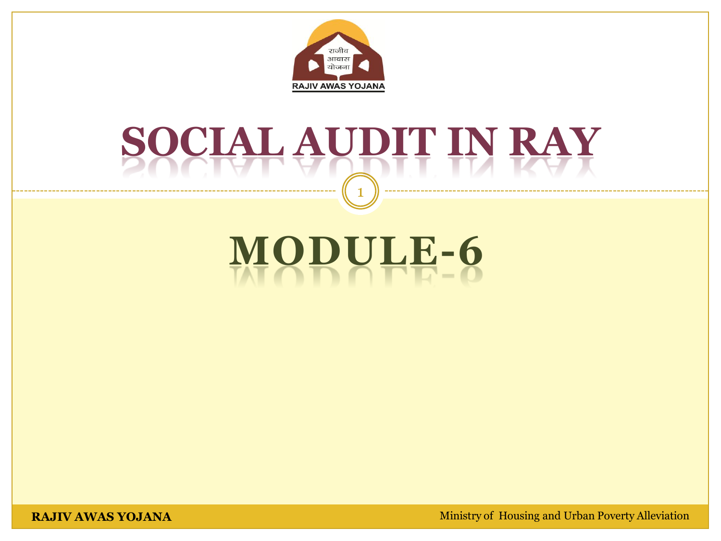

## **SOCIAL AUDIT IN RAY**  1

# **MODULE-6**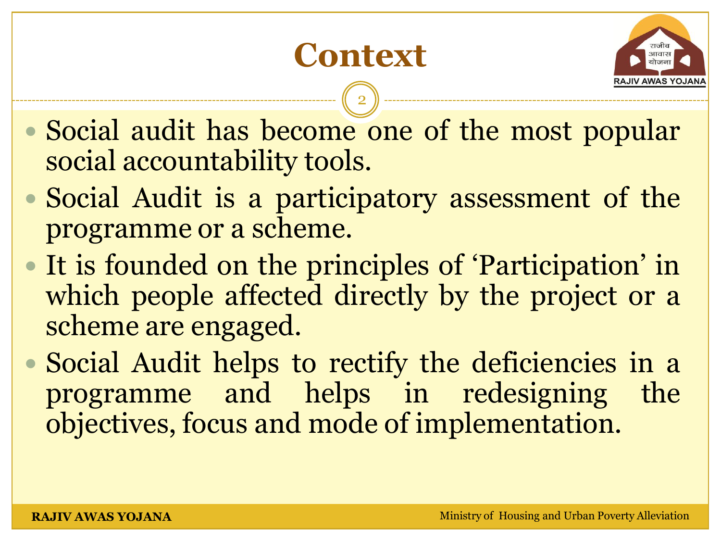## **Context**



- Social audit has become one of the most popular social accountability tools.
- Social Audit is a participatory assessment of the programme or a scheme.
- It is founded on the principles of 'Participation' in which people affected directly by the project or a scheme are engaged.
- Social Audit helps to rectify the deficiencies in a programme and helps in redesigning the objectives, focus and mode of implementation.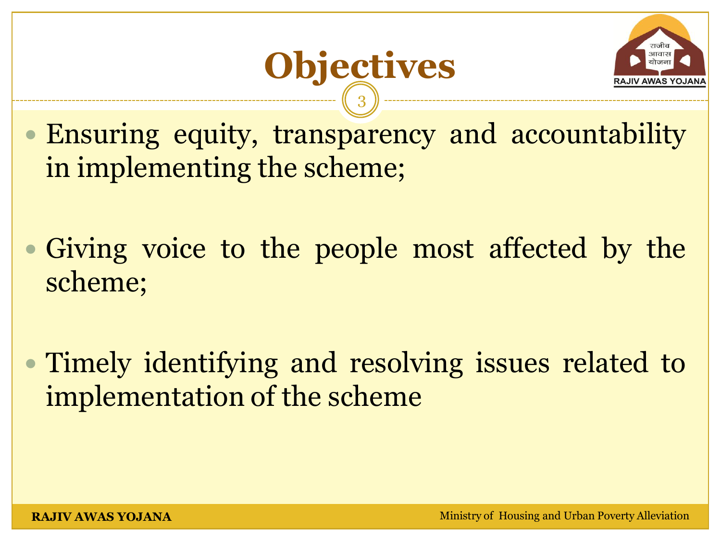

 Ensuring equity, transparency and accountability in implementing the scheme;

**Objectives** 

3

 Giving voice to the people most affected by the scheme;

 Timely identifying and resolving issues related to implementation of the scheme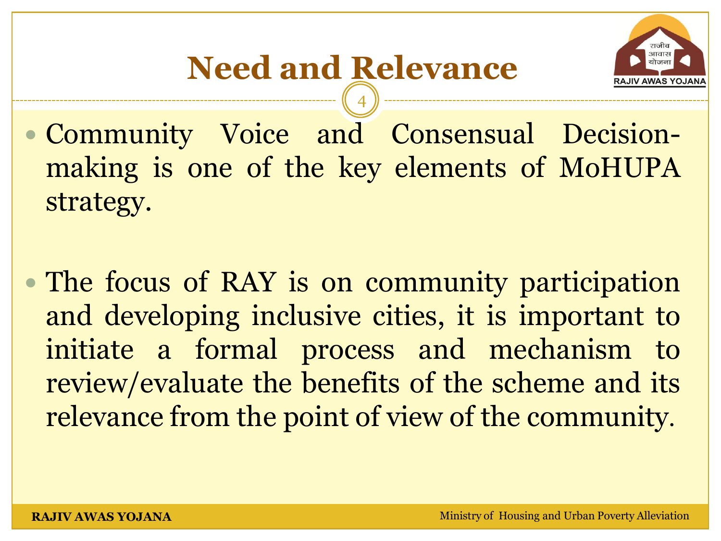

- Community Voice and Consensual Decisionmaking is one of the key elements of MoHUPA strategy.
- The focus of RAY is on community participation and developing inclusive cities, it is important to initiate a formal process and mechanism to review/evaluate the benefits of the scheme and its relevance from the point of view of the community.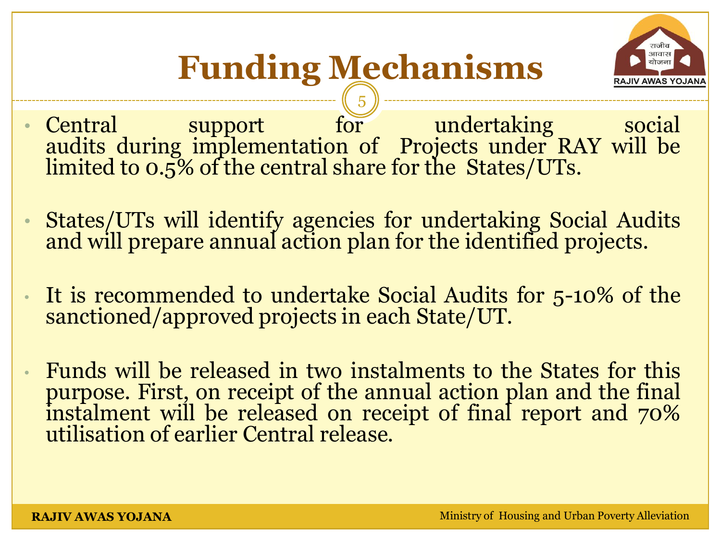

### **Funding Mechanisms** 5

- Central support for undertaking social audits during implementation of Projects under RAY will be limited to 0.5% of the central share for the States/UTs.
- States/UTs will identify agencies for undertaking Social Audits and will prepare annual action plan for the identified projects.
- It is recommended to undertake Social Audits for 5-10% of the sanctioned/approved projects in each State/UT.
- Funds will be released in two instalments to the States for this purpose. First, on receipt of the annual action plan and the final instalment will be released on receipt of final report and  $70\%$ utilisation of earlier Central release.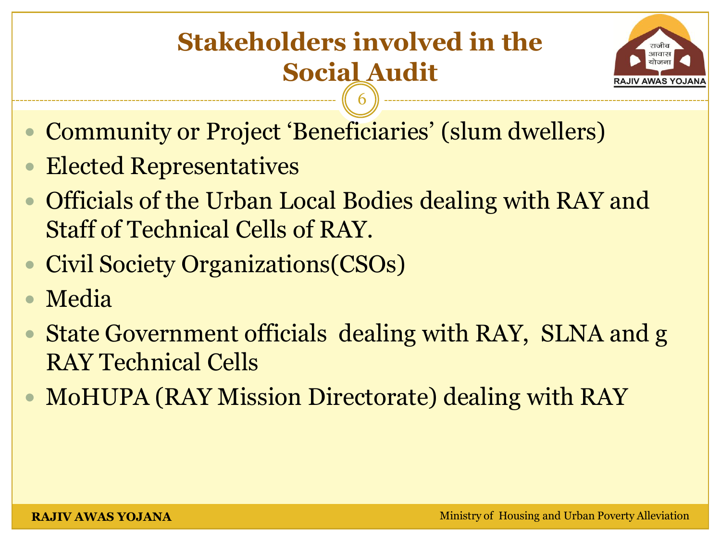### **Stakeholders involved in the Social Audit** 6



- Community or Project 'Beneficiaries' (slum dwellers)
- Elected Representatives
- Officials of the Urban Local Bodies dealing with RAY and Staff of Technical Cells of RAY.
- Civil Society Organizations(CSOs)
- Media
- State Government officials dealing with RAY, SLNA and g RAY Technical Cells
- MoHUPA (RAY Mission Directorate) dealing with RAY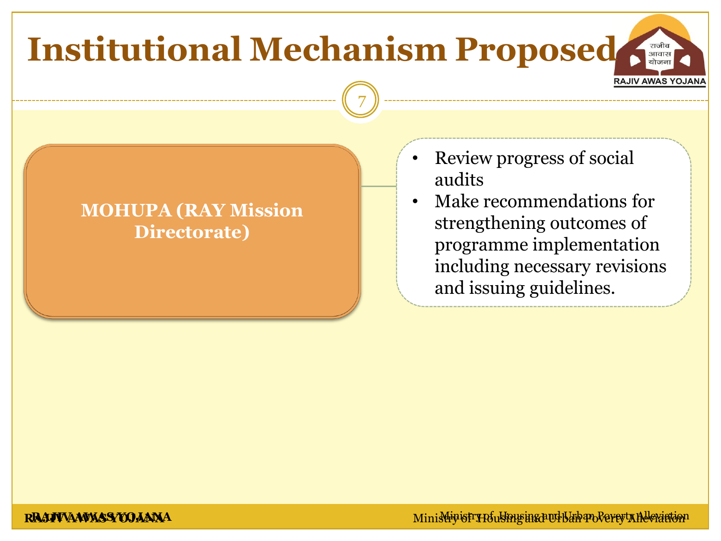## **Institutional Mechanism Proposed** RAJIV AWAS YOJANA 7

#### **MOHUPA (RAY Mission Directorate)**

- Review progress of social audits
	- Make recommendations for strengthening outcomes of programme implementation including necessary revisions and issuing guidelines.

**RAJIVAAWASSYOJAANA** Ministry of Housing and Urban Poverty Alleviation and Urban Poverty Alleviation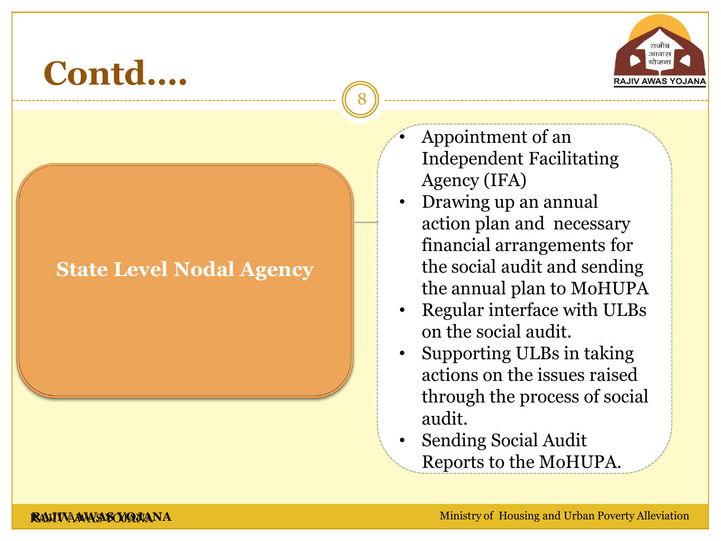

#### **State Level Nodal Agency**

• Appointment of an Independent Facilitating Agency (IFA)

- Drawing up an annual action plan and necessary financial arrangements for the social audit and sending the annual plan to MoHUPA
- Regular interface with ULBs on the social audit.
- Supporting ULBs in taking actions on the issues raised through the process of social audit.
- Sending Social Audit Reports to the MoHUPA.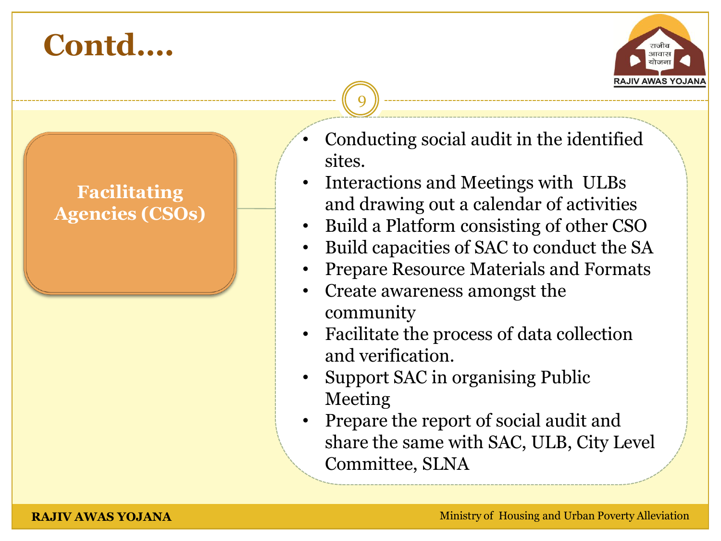

#### **Facilitating Agencies (CSOs)**

- Conducting social audit in the identified sites.
- Interactions and Meetings with ULBs and drawing out a calendar of activities
- Build a Platform consisting of other CSO
- Build capacities of SAC to conduct the SA
- Prepare Resource Materials and Formats
- Create awareness amongst the community

- Facilitate the process of data collection and verification.
- Support SAC in organising Public Meeting
- Prepare the report of social audit and share the same with SAC, ULB, City Level Committee, SLNA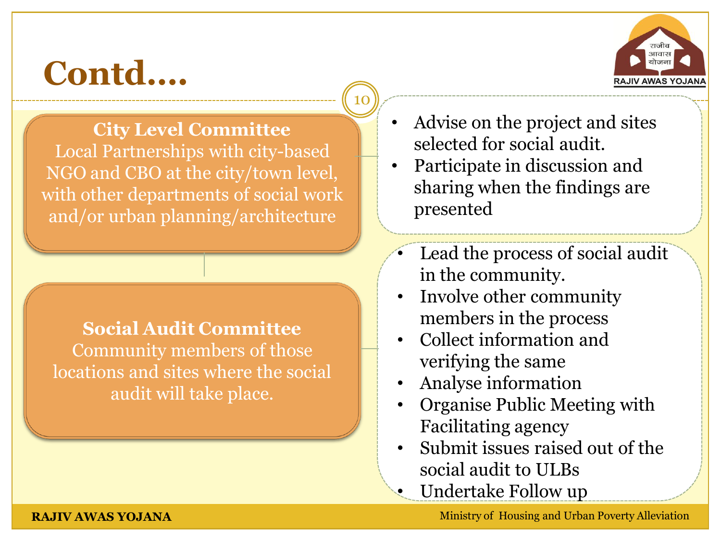

**City Level Committee** Local Partnerships with city-based NGO and CBO at the city/town level, with other departments of social work and/or urban planning/architecture

**Social Audit Committee** Community members of those locations and sites where the social audit will take place.

• Advise on the project and sites selected for social audit.

10

- Participate in discussion and sharing when the findings are presented
- Lead the process of social audit in the community.
- Involve other community members in the process
- Collect information and verifying the same
- Analyse information
- Organise Public Meeting with Facilitating agency
- Submit issues raised out of the social audit to ULBs
- Undertake Follow up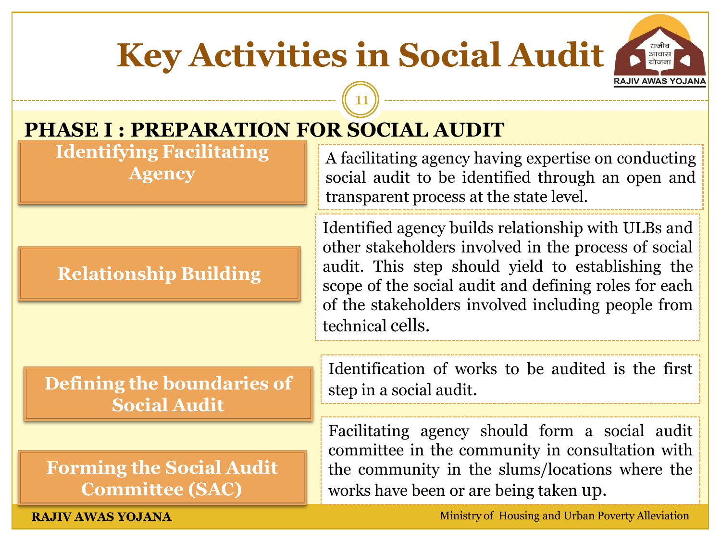## **Key Activities in Social Audit**

11



### **PHASE I : PREPARATION FOR SOCIAL AUDIT**

**Identifying Facilitating Agency** 

#### **Relationship Building**

A facilitating agency having expertise on conducting social audit to be identified through an open and transparent process at the state level.

Identified agency builds relationship with ULBs and other stakeholders involved in the process of social audit. This step should yield to establishing the scope of the social audit and defining roles for each of the stakeholders involved including people from technical cells.

**Defining the boundaries of Social Audit** 

**Forming the Social Audit Committee (SAC)**

Identification of works to be audited is the first step in a social audit.

Facilitating agency should form a social audit committee in the community in consultation with the community in the slums/locations where the works have been or are being taken up.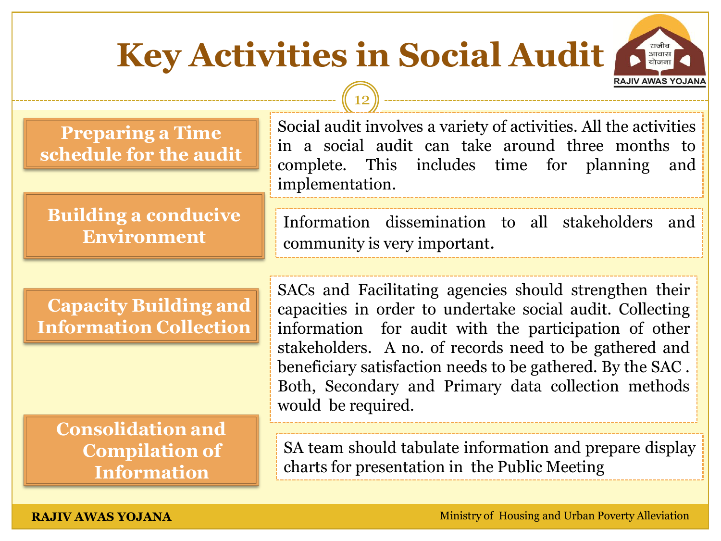## **Key Activities in Social Audit**

12



**Preparing a Time schedule for the audit** Social audit involves a variety of activities. All the activities in a social audit can take around three months to complete. This includes time for planning and implementation.

#### **Building a conducive Environment**

Information dissemination to all stakeholders and community is very important.

**Capacity Building and Information Collection**

**Consolidation and Compilation of Information** 

SACs and Facilitating agencies should strengthen their capacities in order to undertake social audit. Collecting information for audit with the participation of other stakeholders. A no. of records need to be gathered and beneficiary satisfaction needs to be gathered. By the SAC . Both, Secondary and Primary data collection methods would be required.

SA team should tabulate information and prepare display charts for presentation in the Public Meeting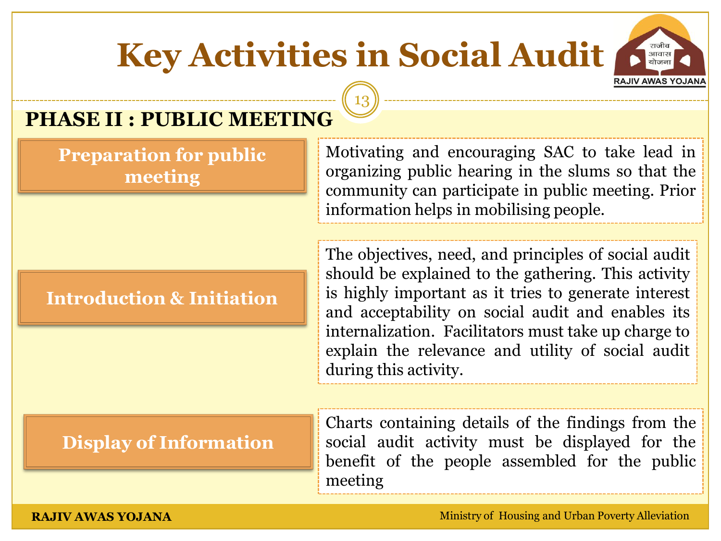## **Key Activities in Social Audit**

13



### **PHASE II : PUBLIC MEETING**

**Preparation for public meeting** 

#### **Introduction & Initiation**

Motivating and encouraging SAC to take lead in organizing public hearing in the slums so that the community can participate in public meeting. Prior information helps in mobilising people.

The objectives, need, and principles of social audit should be explained to the gathering. This activity is highly important as it tries to generate interest and acceptability on social audit and enables its internalization. Facilitators must take up charge to explain the relevance and utility of social audit during this activity.

#### **Display of Information**

Charts containing details of the findings from the social audit activity must be displayed for the benefit of the people assembled for the public meeting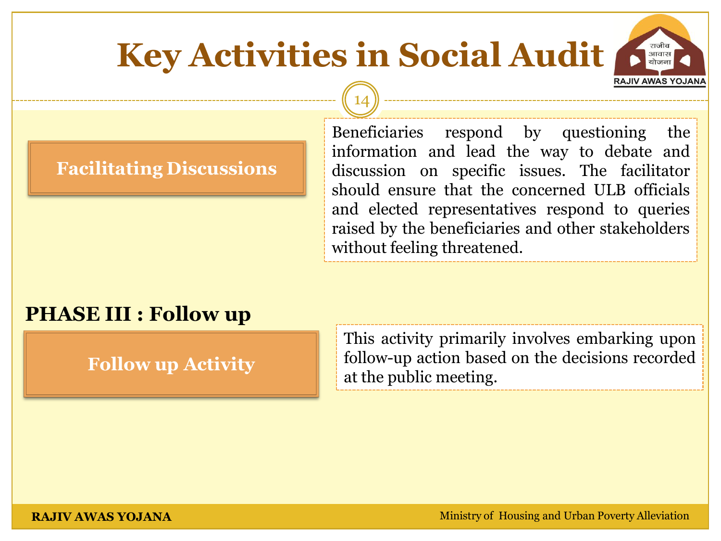### **Key Activities in Social Audit RAJIV AWAS YOJANA**

14

#### **Facilitating Discussions**

Beneficiaries respond by questioning the information and lead the way to debate and discussion on specific issues. The facilitator should ensure that the concerned ULB officials and elected representatives respond to queries raised by the beneficiaries and other stakeholders without feeling threatened.

आवास

#### **PHASE III : Follow up**

**Follow up Activity**

This activity primarily involves embarking upon follow-up action based on the decisions recorded at the public meeting.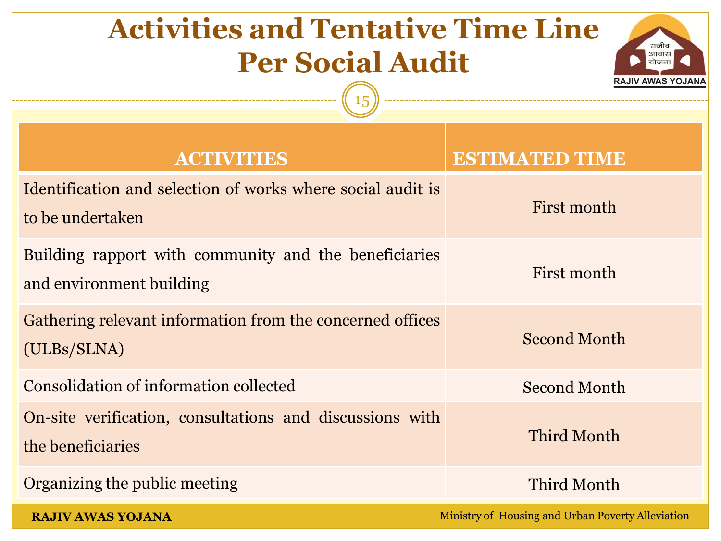## **Activities and Tentative Time Line Per Social Audit**



| <b>ACTIVITIES</b>                                                                 | <b>ESTIMATED TIME</b>                             |
|-----------------------------------------------------------------------------------|---------------------------------------------------|
| Identification and selection of works where social audit is<br>to be undertaken   | First month                                       |
| Building rapport with community and the beneficiaries<br>and environment building | First month                                       |
| Gathering relevant information from the concerned offices<br>(ULBs/SLNA)          | <b>Second Month</b>                               |
| Consolidation of information collected                                            | <b>Second Month</b>                               |
| On-site verification, consultations and discussions with<br>the beneficiaries     | Third Month                                       |
| Organizing the public meeting                                                     | Third Month                                       |
| <b>RAJIV AWAS YOJANA</b>                                                          | Ministry of Housing and Urban Poverty Alleviation |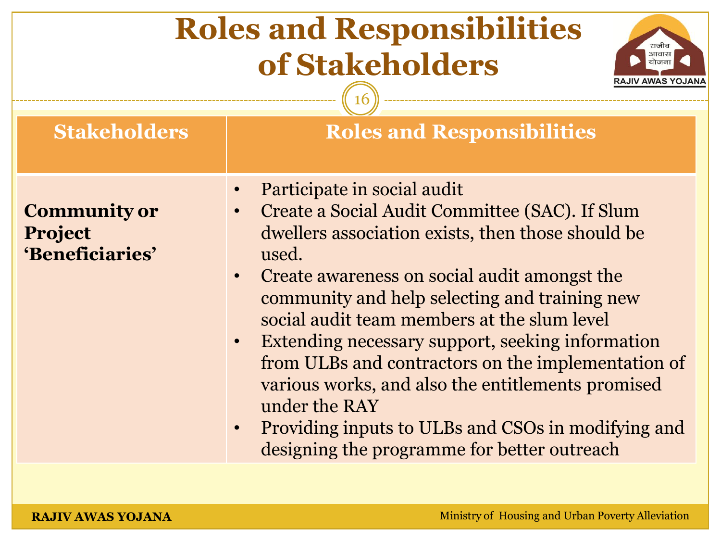| <b>Roles and Responsibilities</b><br>राजीव<br>आवास<br>of Stakeholders<br>RAJIV AWAS YOJAN. |                                                                                                                                                                                                                                                                                                                                                                                                                                                                                                                                                                                                                                      |
|--------------------------------------------------------------------------------------------|--------------------------------------------------------------------------------------------------------------------------------------------------------------------------------------------------------------------------------------------------------------------------------------------------------------------------------------------------------------------------------------------------------------------------------------------------------------------------------------------------------------------------------------------------------------------------------------------------------------------------------------|
| <b>Stakeholders</b>                                                                        | <b>Roles and Responsibilities</b>                                                                                                                                                                                                                                                                                                                                                                                                                                                                                                                                                                                                    |
| <b>Community or</b><br><b>Project</b><br>'Beneficiaries'                                   | Participate in social audit<br>$\bullet$<br>Create a Social Audit Committee (SAC). If Slum<br>dwellers association exists, then those should be<br>used.<br>Create awareness on social audit amongst the<br>$\bullet$<br>community and help selecting and training new<br>social audit team members at the slum level<br>Extending necessary support, seeking information<br>$\bullet$<br>from ULBs and contractors on the implementation of<br>various works, and also the entitlements promised<br>under the RAY<br>Providing inputs to ULBs and CSOs in modifying and<br>$\bullet$<br>designing the programme for better outreach |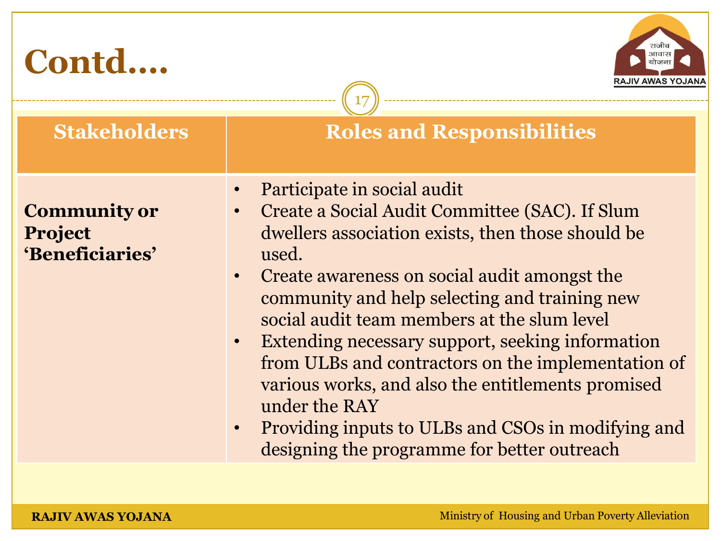| Contd<br>RAJIV AWAS YOJAN                         |                                                                                                                                                                                                                                                                                                                                                                                                                                                                                                                                                                                               |
|---------------------------------------------------|-----------------------------------------------------------------------------------------------------------------------------------------------------------------------------------------------------------------------------------------------------------------------------------------------------------------------------------------------------------------------------------------------------------------------------------------------------------------------------------------------------------------------------------------------------------------------------------------------|
| <b>Stakeholders</b>                               | <b>Roles and Responsibilities</b>                                                                                                                                                                                                                                                                                                                                                                                                                                                                                                                                                             |
| <b>Community or</b><br>Project<br>'Beneficiaries' | Participate in social audit<br>Create a Social Audit Committee (SAC). If Slum<br>dwellers association exists, then those should be<br>used.<br>Create awareness on social audit amongst the<br>community and help selecting and training new<br>social audit team members at the slum level<br>Extending necessary support, seeking information<br>$\bullet$<br>from ULBs and contractors on the implementation of<br>various works, and also the entitlements promised<br>under the RAY<br>Providing inputs to ULBs and CSOs in modifying and<br>designing the programme for better outreach |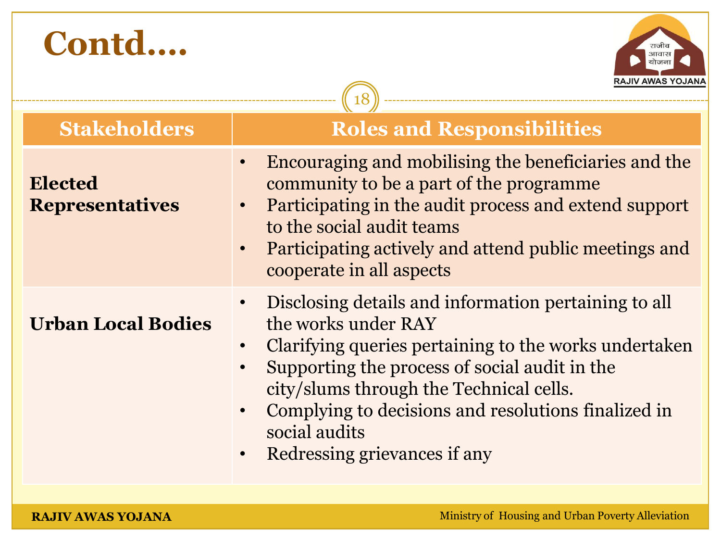

|                                          | <b>KAJIV AWAS TUJANA</b>                                                                                                                                                                                                                                                                                                                                                                     |
|------------------------------------------|----------------------------------------------------------------------------------------------------------------------------------------------------------------------------------------------------------------------------------------------------------------------------------------------------------------------------------------------------------------------------------------------|
| <b>Stakeholders</b>                      | <b>Roles and Responsibilities</b>                                                                                                                                                                                                                                                                                                                                                            |
| <b>Elected</b><br><b>Representatives</b> | Encouraging and mobilising the beneficiaries and the<br>$\bullet$<br>community to be a part of the programme<br>Participating in the audit process and extend support<br>to the social audit teams<br>Participating actively and attend public meetings and<br>$\bullet$<br>cooperate in all aspects                                                                                         |
| <b>Urban Local Bodies</b>                | Disclosing details and information pertaining to all<br>$\bullet$<br>the works under RAY<br>Clarifying queries pertaining to the works undertaken<br>$\bullet$<br>Supporting the process of social audit in the<br>city/slums through the Technical cells.<br>Complying to decisions and resolutions finalized in<br>$\bullet$<br>social audits<br>Redressing grievances if any<br>$\bullet$ |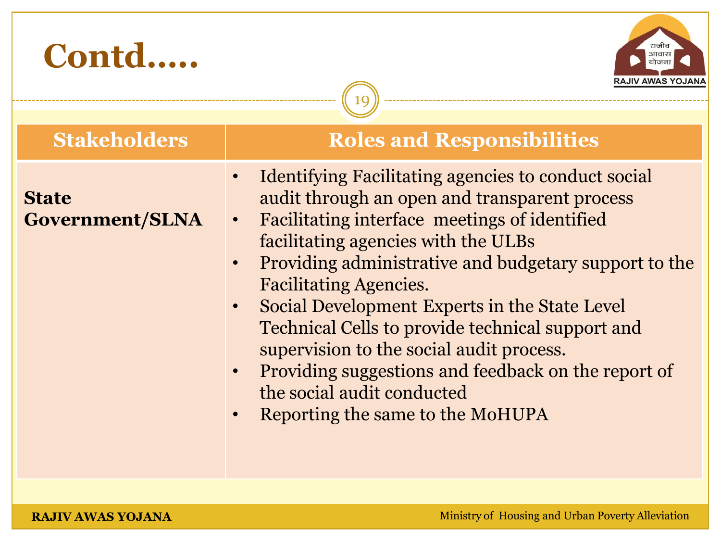| Contd<br><b>Stakeholders</b>    | RAJIV AWAS YOJANA<br><b>Roles and Responsibilities</b>                                                                                                                                                                                                                                                                                                                                                                                                                                                                                           |
|---------------------------------|--------------------------------------------------------------------------------------------------------------------------------------------------------------------------------------------------------------------------------------------------------------------------------------------------------------------------------------------------------------------------------------------------------------------------------------------------------------------------------------------------------------------------------------------------|
|                                 | <b>Identifying Facilitating agencies to conduct social</b>                                                                                                                                                                                                                                                                                                                                                                                                                                                                                       |
| <b>State</b><br>Government/SLNA | audit through an open and transparent process<br>Facilitating interface meetings of identified<br>$\bullet$<br>facilitating agencies with the ULBs<br>Providing administrative and budgetary support to the<br><b>Facilitating Agencies.</b><br>Social Development Experts in the State Level<br>$\bullet$<br>Technical Cells to provide technical support and<br>supervision to the social audit process.<br>Providing suggestions and feedback on the report of<br>$\bullet$<br>the social audit conducted<br>Reporting the same to the MoHUPA |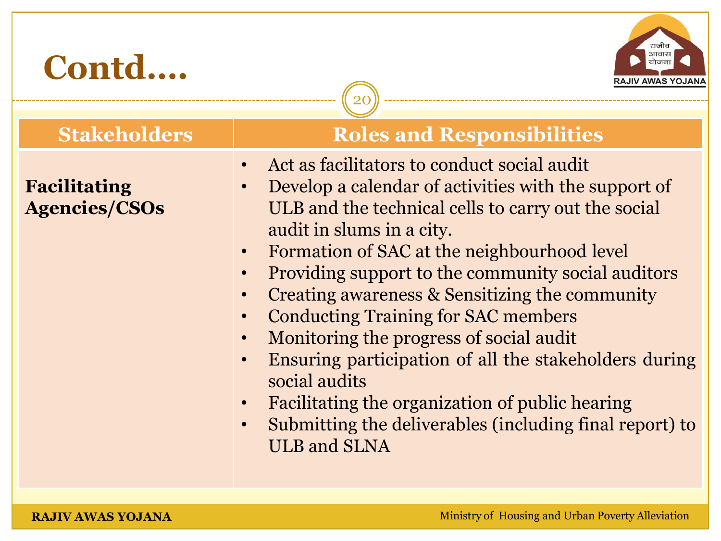

**Facilitating** 

**Agencies/CSOs** 

#### **Stakeholders | Roles and Responsibilities**

• Act as facilitators to conduct social audit

- Develop a calendar of activities with the support of ULB and the technical cells to carry out the social audit in slums in a city.
- Formation of SAC at the neighbourhood level
- Providing support to the community social auditors
- Creating awareness & Sensitizing the community
- Conducting Training for SAC members
- Monitoring the progress of social audit
- Ensuring participation of all the stakeholders during social audits
- Facilitating the organization of public hearing
- Submitting the deliverables (including final report) to ULB and SLNA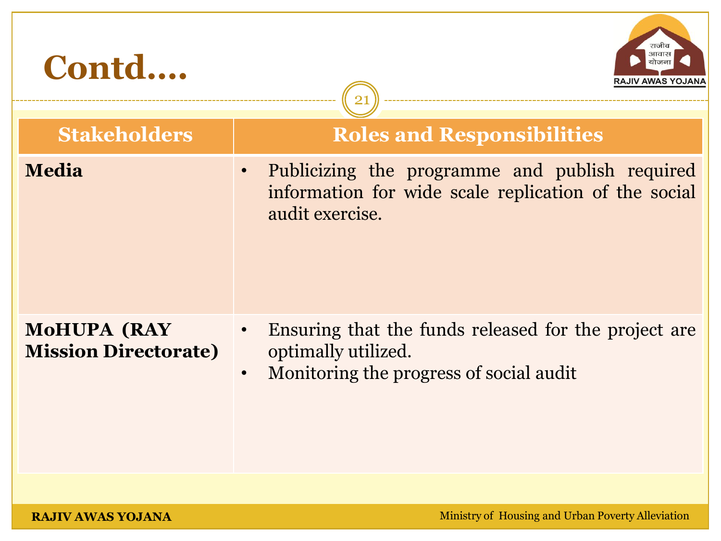| Contd                                             | RAJIV AWAS YOJANA                                                                                                                                |
|---------------------------------------------------|--------------------------------------------------------------------------------------------------------------------------------------------------|
| <b>Stakeholders</b>                               | <b>Roles and Responsibilities</b>                                                                                                                |
| <b>Media</b>                                      | Publicizing the programme and publish required<br>$\bullet$<br>information for wide scale replication of the social<br>audit exercise.           |
| <b>MOHUPA (RAY</b><br><b>Mission Directorate)</b> | Ensuring that the funds released for the project are<br>$\bullet$<br>optimally utilized.<br>Monitoring the progress of social audit<br>$\bullet$ |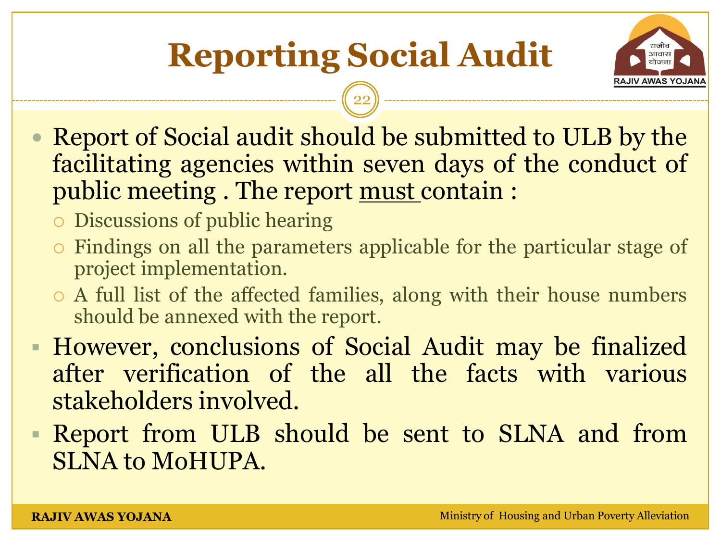## **Reporting Social Audit**



- Report of Social audit should be submitted to ULB by the facilitating agencies within seven days of the conduct of public meeting . The report must contain :
	- Discussions of public hearing
	- Findings on all the parameters applicable for the particular stage of project implementation.
	- A full list of the affected families, along with their house numbers should be annexed with the report.
- However, conclusions of Social Audit may be finalized after verification of the all the facts with various stakeholders involved.
- Report from ULB should be sent to SLNA and from SLNA to MoHUPA.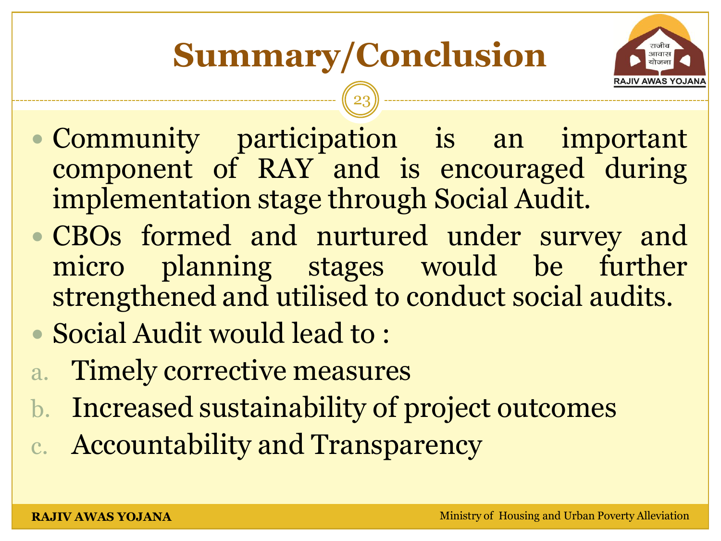

- Community participation is an important component of RAY and is encouraged during implementation stage through Social Audit.
- CBOs formed and nurtured under survey and micro planning stages would be further strengthened and utilised to conduct social audits.
- Social Audit would lead to :
- a. Timely corrective measures
- b. Increased sustainability of project outcomes
- c. Accountability and Transparency